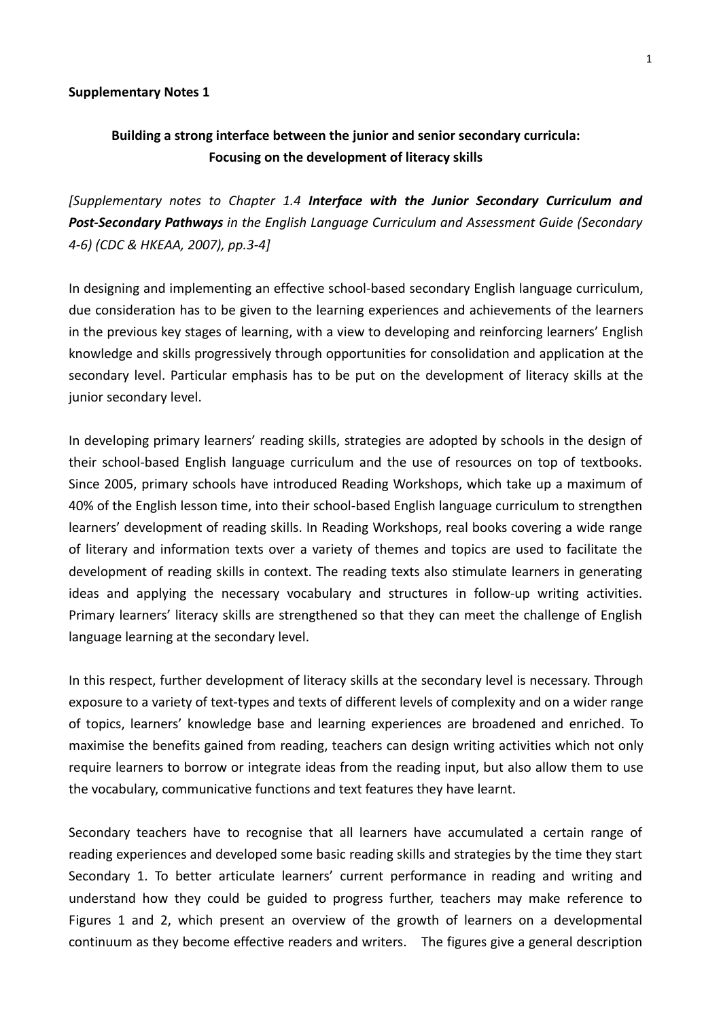#### **Supplementary Notes 1**

# **Building a strong interface between the junior and senior secondary curricula: Focusing on the development of literacy skills**

*[Supplementary notes to Chapter 1.4 Interface with the Junior Secondary Curriculum and Post‐Secondary Pathways in the English Language Curriculum and Assessment Guide (Secondary 4‐6) (CDC & HKEAA, 2007), pp.3‐4]*

In designing and implementing an effective school‐based secondary English language curriculum, due consideration has to be given to the learning experiences and achievements of the learners in the previous key stages of learning, with a view to developing and reinforcing learners' English knowledge and skills progressively through opportunities for consolidation and application at the secondary level. Particular emphasis has to be put on the development of literacy skills at the junior secondary level.

In developing primary learners' reading skills, strategies are adopted by schools in the design of their school‐based English language curriculum and the use of resources on top of textbooks. Since 2005, primary schools have introduced Reading Workshops, which take up a maximum of 40% of the English lesson time, into their school‐based English language curriculum to strengthen learners' development of reading skills. In Reading Workshops, real books covering a wide range of literary and information texts over a variety of themes and topics are used to facilitate the development of reading skills in context. The reading texts also stimulate learners in generating ideas and applying the necessary vocabulary and structures in follow‐up writing activities. Primary learners' literacy skills are strengthened so that they can meet the challenge of English language learning at the secondary level.

In this respect, further development of literacy skills at the secondary level is necessary. Through exposure to a variety of text-types and texts of different levels of complexity and on a wider range of topics, learners' knowledge base and learning experiences are broadened and enriched. To maximise the benefits gained from reading, teachers can design writing activities which not only require learners to borrow or integrate ideas from the reading input, but also allow them to use the vocabulary, communicative functions and text features they have learnt.

Secondary teachers have to recognise that all learners have accumulated a certain range of reading experiences and developed some basic reading skills and strategies by the time they start Secondary 1. To better articulate learners' current performance in reading and writing and understand how they could be guided to progress further, teachers may make reference to Figures 1 and 2, which present an overview of the growth of learners on a developmental continuum as they become effective readers and writers. The figures give a general description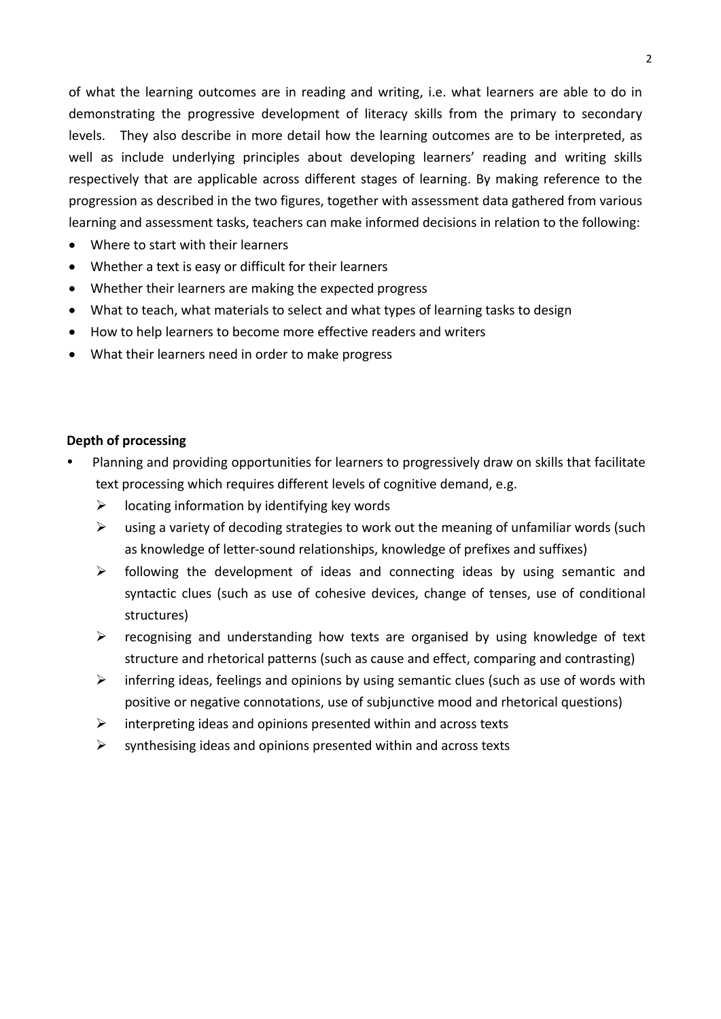of what the learning outcomes are in reading and writing, i.e. what learners are able to do in demonstrating the progressive development of literacy skills from the primary to secondary levels. They also describe in more detail how the learning outcomes are to be interpreted, as well as include underlying principles about developing learners' reading and writing skills respectively that are applicable across different stages of learning. By making reference to the progression as described in the two figures, together with assessment data gathered from various learning and assessment tasks, teachers can make informed decisions in relation to the following:

- Where to start with their learners
- Whether a text is easy or difficult for their learners
- Whether their learners are making the expected progress
- What to teach, what materials to select and what types of learning tasks to design
- How to help learners to become more effective readers and writers
- What their learners need in order to make progress

## **Depth of processing**

- Planning and providing opportunities for learners to progressively draw on skills that facilitate text processing which requires different levels of cognitive demand, e.g.
	- $\triangleright$  locating information by identifying key words
	- $\triangleright$  using a variety of decoding strategies to work out the meaning of unfamiliar words (such as knowledge of letter‐sound relationships, knowledge of prefixes and suffixes)
	- $\triangleright$  following the development of ideas and connecting ideas by using semantic and syntactic clues (such as use of cohesive devices, change of tenses, use of conditional structures)
	- $\triangleright$  recognising and understanding how texts are organised by using knowledge of text structure and rhetorical patterns (such as cause and effect, comparing and contrasting)
	- $\triangleright$  inferring ideas, feelings and opinions by using semantic clues (such as use of words with positive or negative connotations, use of subjunctive mood and rhetorical questions)
	- $\triangleright$  interpreting ideas and opinions presented within and across texts
	- $\triangleright$  synthesising ideas and opinions presented within and across texts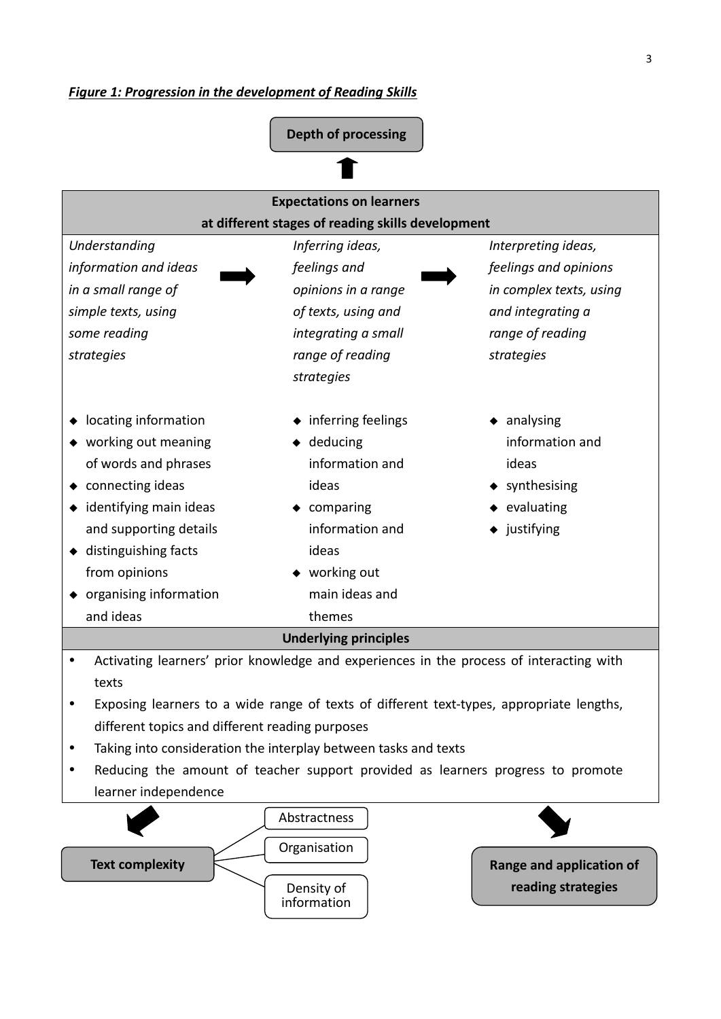

information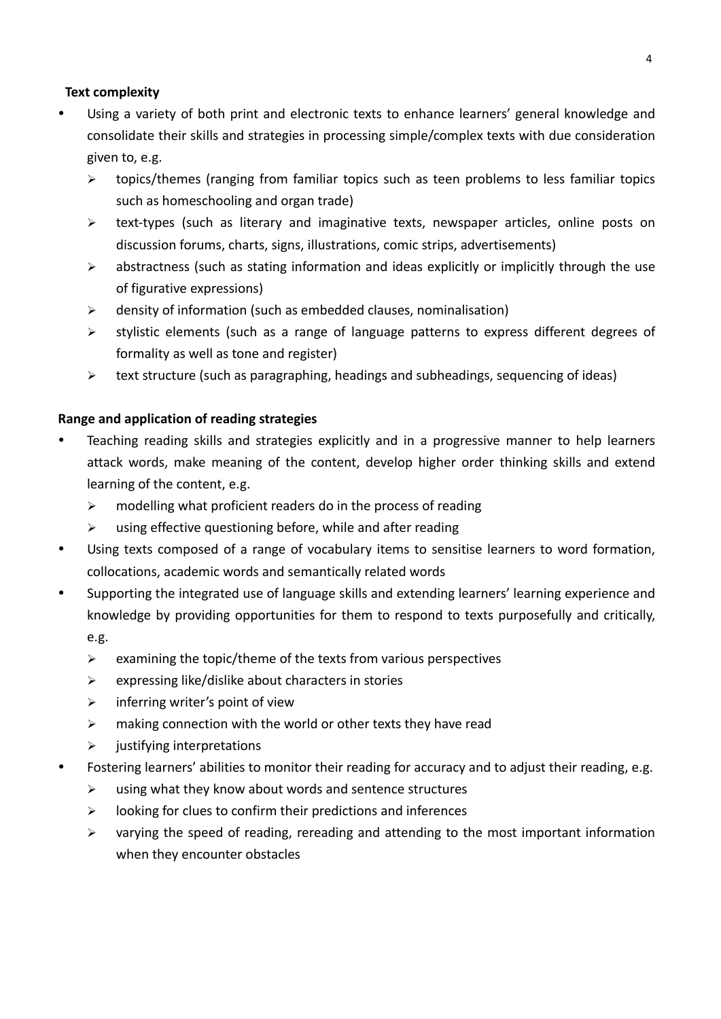# **Text complexity**

- Using a variety of both print and electronic texts to enhance learners' general knowledge and consolidate their skills and strategies in processing simple/complex texts with due consideration given to, e.g.
	- $\triangleright$  topics/themes (ranging from familiar topics such as teen problems to less familiar topics such as homeschooling and organ trade)
	- text‐types (such as literary and imaginative texts, newspaper articles, online posts on discussion forums, charts, signs, illustrations, comic strips, advertisements)
	- $\triangleright$  abstractness (such as stating information and ideas explicitly or implicitly through the use of figurative expressions)
	- $\triangleright$  density of information (such as embedded clauses, nominalisation)
	- $\triangleright$  stylistic elements (such as a range of language patterns to express different degrees of formality as well as tone and register)
	- $\triangleright$  text structure (such as paragraphing, headings and subheadings, sequencing of ideas)

# **Range and application of reading strategies**

- Teaching reading skills and strategies explicitly and in a progressive manner to help learners attack words, make meaning of the content, develop higher order thinking skills and extend learning of the content, e.g.
	- $\triangleright$  modelling what proficient readers do in the process of reading
	- $\triangleright$  using effective questioning before, while and after reading
- Using texts composed of a range of vocabulary items to sensitise learners to word formation, collocations, academic words and semantically related words
- Supporting the integrated use of language skills and extending learners' learning experience and knowledge by providing opportunities for them to respond to texts purposefully and critically, e.g.
	- $\triangleright$  examining the topic/theme of the texts from various perspectives
	- $\triangleright$  expressing like/dislike about characters in stories
	- $\triangleright$  inferring writer's point of view
	- $\triangleright$  making connection with the world or other texts they have read
	- $\triangleright$  justifying interpretations
- Fostering learners' abilities to monitor their reading for accuracy and to adjust their reading, e.g.
	- $\triangleright$  using what they know about words and sentence structures
	- $\triangleright$  looking for clues to confirm their predictions and inferences
	- $\triangleright$  varying the speed of reading, rereading and attending to the most important information when they encounter obstacles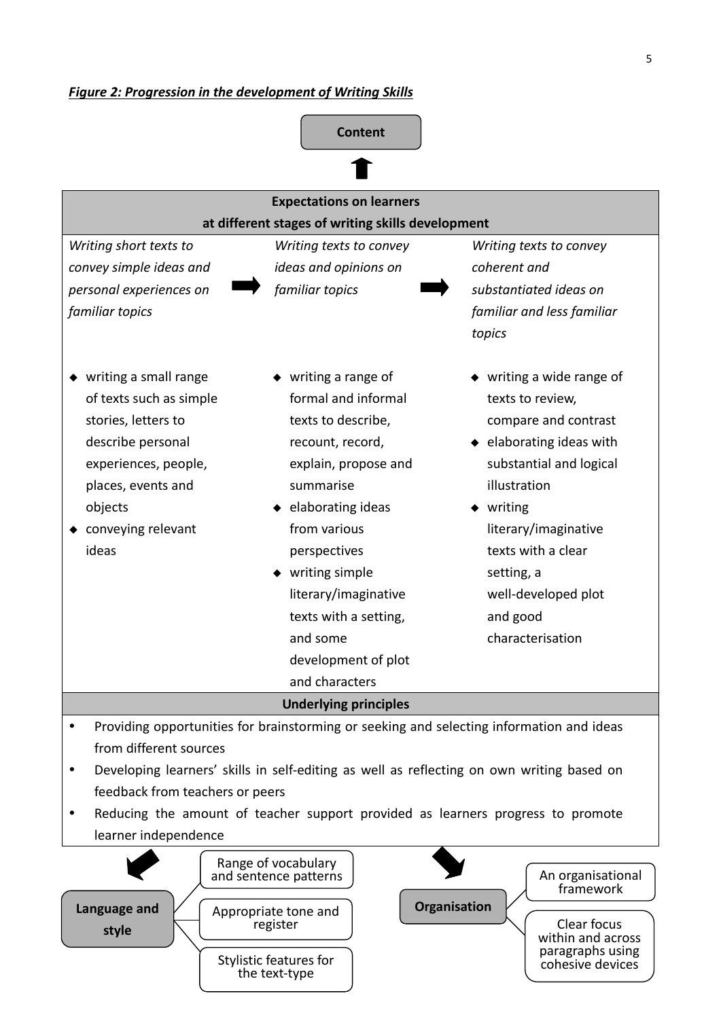

- Developing learners' skills in self-editing as well as reflecting on own writing based on feedback from teachers or peers
- Reducing the amount of teacher support provided as learners progress to promote learner independence